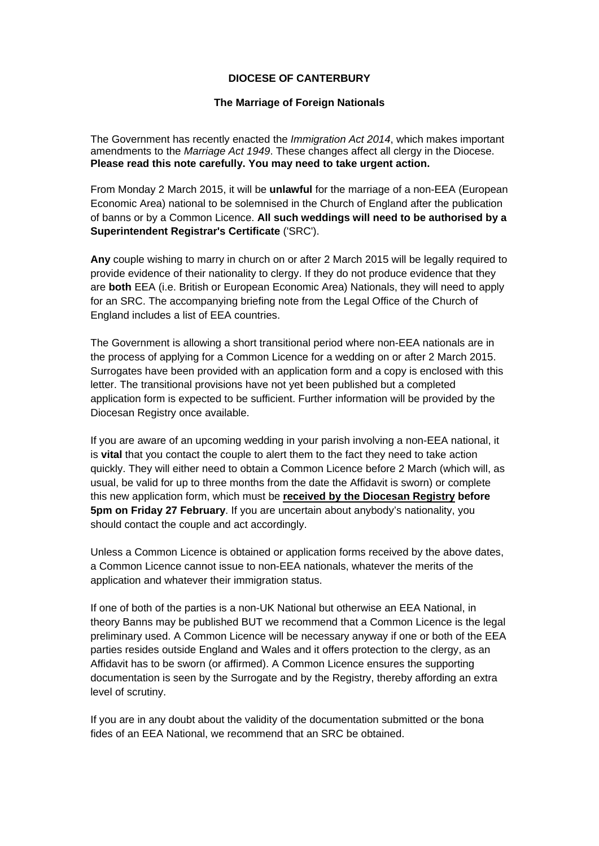## **DIOCESE OF CANTERBURY**

## **The Marriage of Foreign Nationals**

The Government has recently enacted the *Immigration Act 2014*, which makes important amendments to the *Marriage Act 1949*. These changes affect all clergy in the Diocese. **Please read this note carefully. You may need to take urgent action.** 

From Monday 2 March 2015, it will be **unlawful** for the marriage of a non-EEA (European Economic Area) national to be solemnised in the Church of England after the publication of banns or by a Common Licence. **All such weddings will need to be authorised by a Superintendent Registrar's Certificate** ('SRC').

**Any** couple wishing to marry in church on or after 2 March 2015 will be legally required to provide evidence of their nationality to clergy. If they do not produce evidence that they are **both** EEA (i.e. British or European Economic Area) Nationals, they will need to apply for an SRC. The accompanying briefing note from the Legal Office of the Church of England includes a list of EEA countries.

The Government is allowing a short transitional period where non-EEA nationals are in the process of applying for a Common Licence for a wedding on or after 2 March 2015. Surrogates have been provided with an application form and a copy is enclosed with this letter. The transitional provisions have not yet been published but a completed application form is expected to be sufficient. Further information will be provided by the Diocesan Registry once available.

If you are aware of an upcoming wedding in your parish involving a non-EEA national, it is **vital** that you contact the couple to alert them to the fact they need to take action quickly. They will either need to obtain a Common Licence before 2 March (which will, as usual, be valid for up to three months from the date the Affidavit is sworn) or complete this new application form, which must be **received by the Diocesan Registry before 5pm on Friday 27 February**. If you are uncertain about anybody's nationality, you should contact the couple and act accordingly.

Unless a Common Licence is obtained or application forms received by the above dates, a Common Licence cannot issue to non-EEA nationals, whatever the merits of the application and whatever their immigration status.

If one of both of the parties is a non-UK National but otherwise an EEA National, in theory Banns may be published BUT we recommend that a Common Licence is the legal preliminary used. A Common Licence will be necessary anyway if one or both of the EEA parties resides outside England and Wales and it offers protection to the clergy, as an Affidavit has to be sworn (or affirmed). A Common Licence ensures the supporting documentation is seen by the Surrogate and by the Registry, thereby affording an extra level of scrutiny.

If you are in any doubt about the validity of the documentation submitted or the bona fides of an EEA National, we recommend that an SRC be obtained.